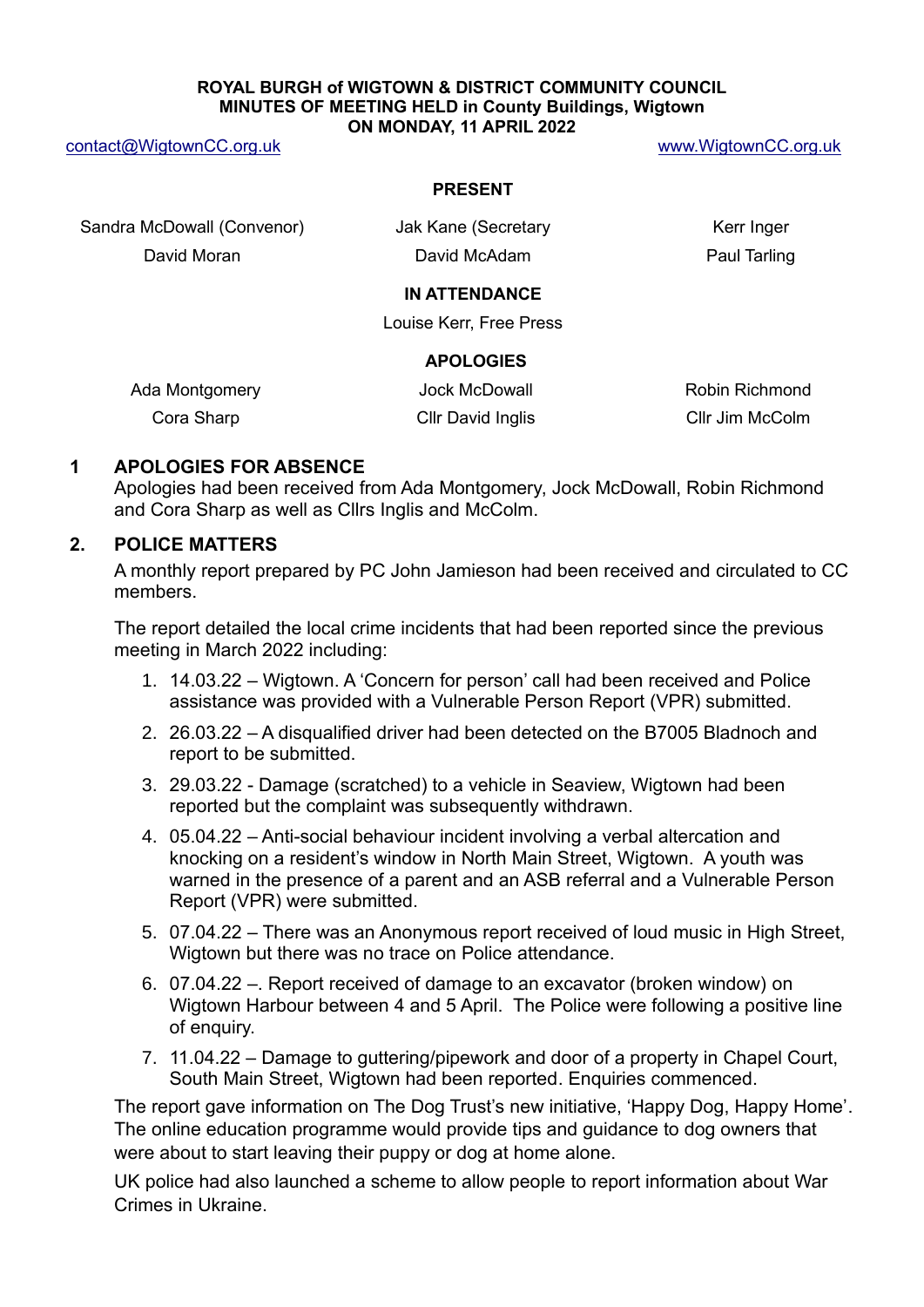#### **ROYAL BURGH of WIGTOWN & DISTRICT COMMUNITY COUNCIL MINUTES OF MEETING HELD in County Buildings, Wigtown ON MONDAY, 11 APRIL 2022**

[contact@WigtownCC.org.uk](mailto:contact@WigtownCC.org.uk) [www.WigtownCC.org.uk](http://www.wigtowncc.org.uk/)

#### **PRESENT**

Sandra McDowall (Convenor) ak Kane (Secretary Kerr Inger

David Moran David McAdam Paul Tarling

### **IN ATTENDANCE**

Louise Kerr, Free Press

### **APOLOGIES**

| Ada Montgomery | Jock McDowall     | Robin Richmond  |
|----------------|-------------------|-----------------|
| Cora Sharp     | Cllr David Inglis | Cllr Jim McColm |

### **1 APOLOGIES FOR ABSENCE**

Apologies had been received from Ada Montgomery, Jock McDowall, Robin Richmond and Cora Sharp as well as Cllrs Inglis and McColm.

# **2. POLICE MATTERS**

A monthly report prepared by PC John Jamieson had been received and circulated to CC members.

The report detailed the local crime incidents that had been reported since the previous meeting in March 2022 including:

- 1. 14.03.22 Wigtown. A 'Concern for person' call had been received and Police assistance was provided with a Vulnerable Person Report (VPR) submitted.
- 2. 26.03.22 A disqualified driver had been detected on the B7005 Bladnoch and report to be submitted.
- 3. 29.03.22 Damage (scratched) to a vehicle in Seaview, Wigtown had been reported but the complaint was subsequently withdrawn.
- 4. 05.04.22 Anti-social behaviour incident involving a verbal altercation and knocking on a resident's window in North Main Street, Wigtown. A youth was warned in the presence of a parent and an ASB referral and a Vulnerable Person Report (VPR) were submitted.
- 5. 07.04.22 There was an Anonymous report received of loud music in High Street, Wigtown but there was no trace on Police attendance.
- 6. 07.04.22 –. Report received of damage to an excavator (broken window) on Wigtown Harbour between 4 and 5 April. The Police were following a positive line of enquiry.
- 7. 11.04.22 Damage to guttering/pipework and door of a property in Chapel Court, South Main Street, Wigtown had been reported. Enquiries commenced.

The report gave information on The Dog Trust's new initiative, 'Happy Dog, Happy Home'. The online education programme would provide tips and guidance to dog owners that were about to start leaving their puppy or dog at home alone.

UK police had also launched a scheme to allow people to report information about War Crimes in Ukraine.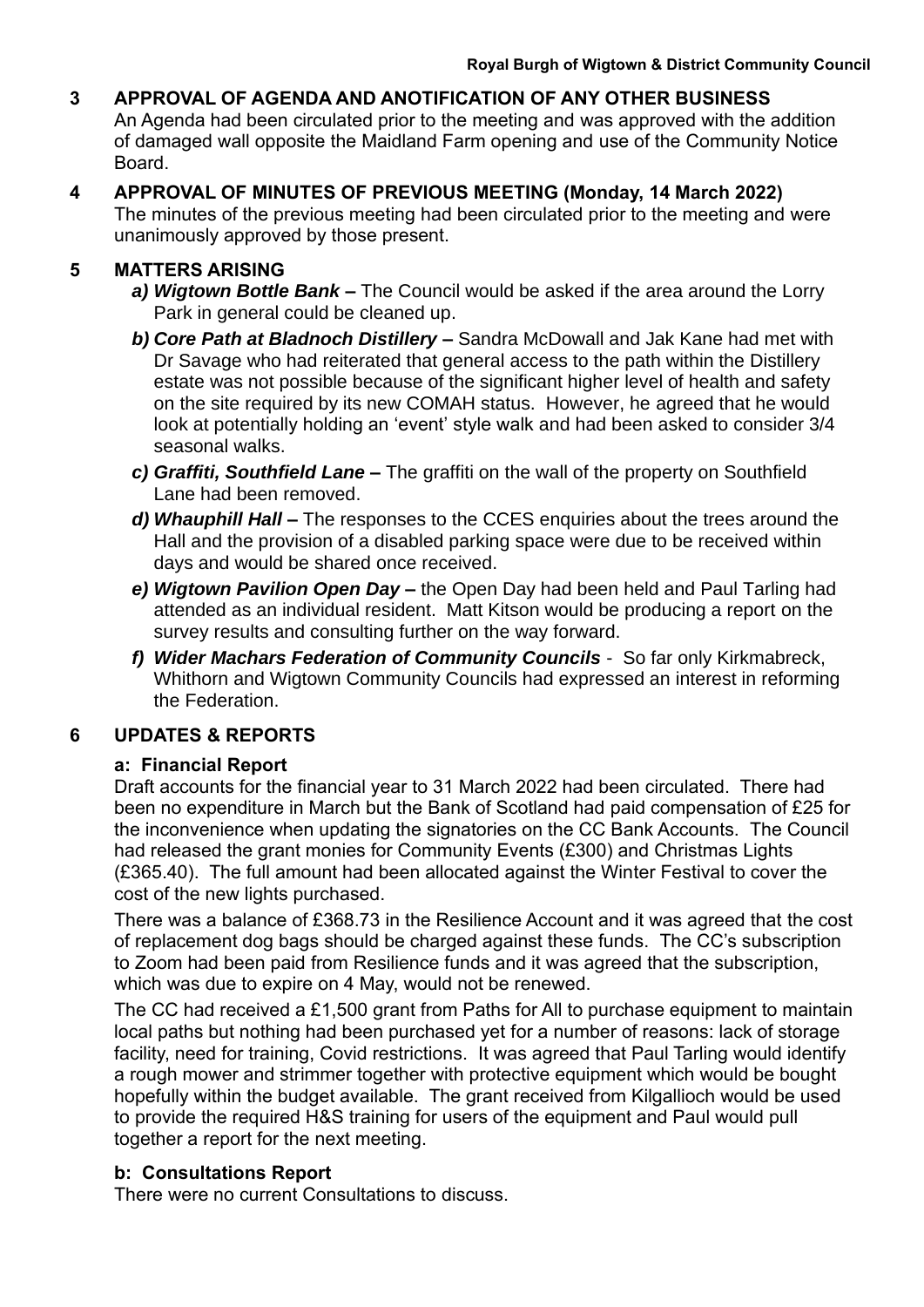# **3 APPROVAL OF AGENDA AND ANOTIFICATION OF ANY OTHER BUSINESS**

An Agenda had been circulated prior to the meeting and was approved with the addition of damaged wall opposite the Maidland Farm opening and use of the Community Notice Board.

**4 APPROVAL OF MINUTES OF PREVIOUS MEETING (Monday, 14 March 2022)** The minutes of the previous meeting had been circulated prior to the meeting and were unanimously approved by those present.

# **5 MATTERS ARISING**

- *a) Wigtown Bottle Bank –* The Council would be asked if the area around the Lorry Park in general could be cleaned up.
- *b) Core Path at Bladnoch Distillery –* Sandra McDowall and Jak Kane had met with Dr Savage who had reiterated that general access to the path within the Distillery estate was not possible because of the significant higher level of health and safety on the site required by its new COMAH status. However, he agreed that he would look at potentially holding an 'event' style walk and had been asked to consider 3/4 seasonal walks.
- *c) Graffiti, Southfield Lane –* The graffiti on the wall of the property on Southfield Lane had been removed.
- *d) Whauphill Hall –* The responses to the CCES enquiries about the trees around the Hall and the provision of a disabled parking space were due to be received within days and would be shared once received.
- *e) Wigtown Pavilion Open Day –* the Open Day had been held and Paul Tarling had attended as an individual resident. Matt Kitson would be producing a report on the survey results and consulting further on the way forward.
- *f) Wider Machars Federation of Community Councils* So far only Kirkmabreck, Whithorn and Wigtown Community Councils had expressed an interest in reforming the Federation.

# **6 UPDATES & REPORTS**

# **a: Financial Report**

Draft accounts for the financial year to 31 March 2022 had been circulated. There had been no expenditure in March but the Bank of Scotland had paid compensation of £25 for the inconvenience when updating the signatories on the CC Bank Accounts. The Council had released the grant monies for Community Events (£300) and Christmas Lights (£365.40). The full amount had been allocated against the Winter Festival to cover the cost of the new lights purchased.

There was a balance of £368.73 in the Resilience Account and it was agreed that the cost of replacement dog bags should be charged against these funds. The CC's subscription to Zoom had been paid from Resilience funds and it was agreed that the subscription, which was due to expire on 4 May, would not be renewed.

The CC had received a £1,500 grant from Paths for All to purchase equipment to maintain local paths but nothing had been purchased yet for a number of reasons: lack of storage facility, need for training, Covid restrictions. It was agreed that Paul Tarling would identify a rough mower and strimmer together with protective equipment which would be bought hopefully within the budget available. The grant received from Kilgallioch would be used to provide the required H&S training for users of the equipment and Paul would pull together a report for the next meeting.

# **b: Consultations Report**

There were no current Consultations to discuss.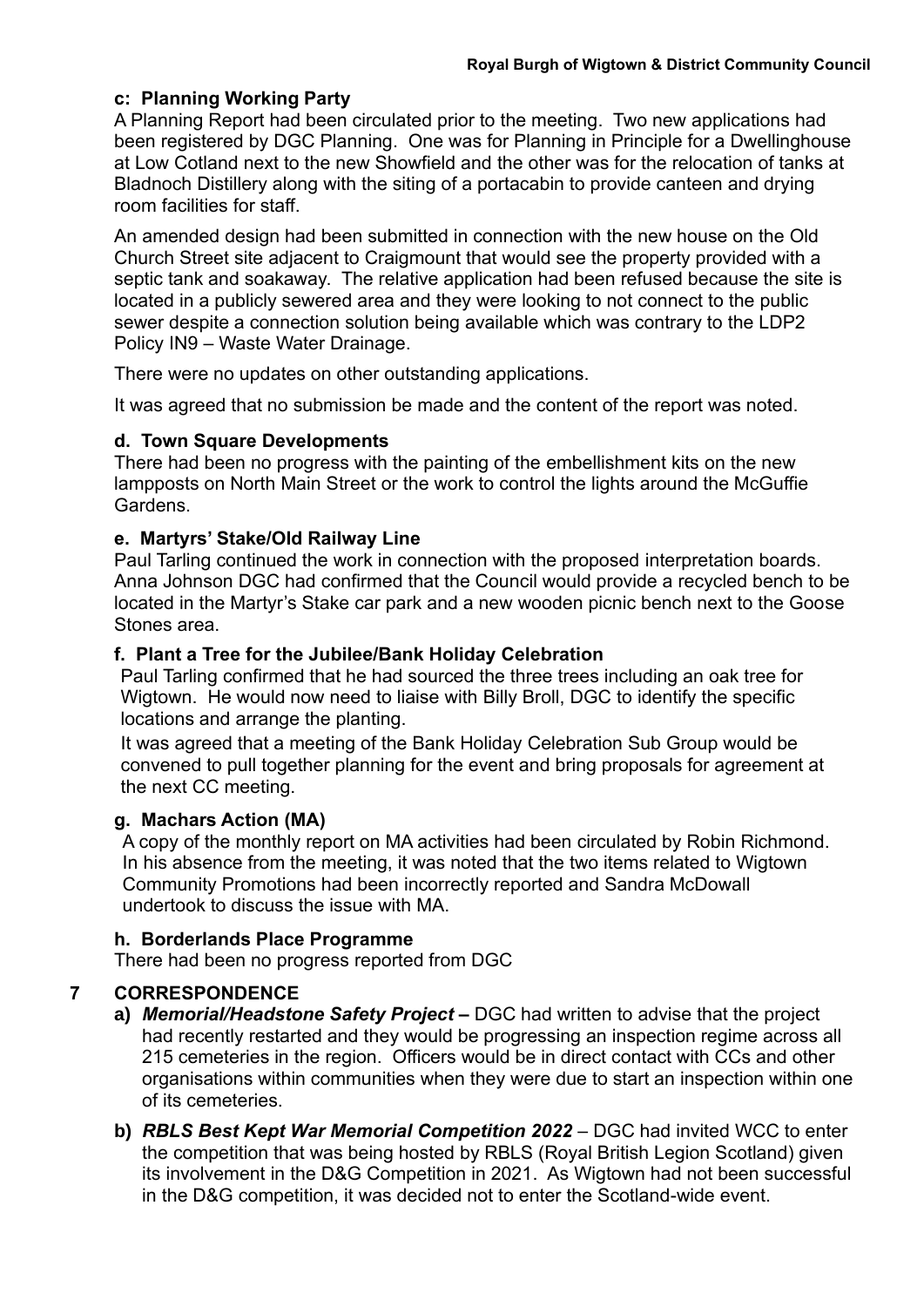# **c: Planning Working Party**

A Planning Report had been circulated prior to the meeting. Two new applications had been registered by DGC Planning. One was for Planning in Principle for a Dwellinghouse at Low Cotland next to the new Showfield and the other was for the relocation of tanks at Bladnoch Distillery along with the siting of a portacabin to provide canteen and drying room facilities for staff.

An amended design had been submitted in connection with the new house on the Old Church Street site adjacent to Craigmount that would see the property provided with a septic tank and soakaway. The relative application had been refused because the site is located in a publicly sewered area and they were looking to not connect to the public sewer despite a connection solution being available which was contrary to the LDP2 Policy IN9 – Waste Water Drainage.

There were no updates on other outstanding applications.

It was agreed that no submission be made and the content of the report was noted.

### **d. Town Square Developments**

There had been no progress with the painting of the embellishment kits on the new lampposts on North Main Street or the work to control the lights around the McGuffie Gardens.

# **e. Martyrs' Stake/Old Railway Line**

Paul Tarling continued the work in connection with the proposed interpretation boards. Anna Johnson DGC had confirmed that the Council would provide a recycled bench to be located in the Martyr's Stake car park and a new wooden picnic bench next to the Goose Stones area.

# **f. Plant a Tree for the Jubilee/Bank Holiday Celebration**

Paul Tarling confirmed that he had sourced the three trees including an oak tree for Wigtown. He would now need to liaise with Billy Broll, DGC to identify the specific locations and arrange the planting.

It was agreed that a meeting of the Bank Holiday Celebration Sub Group would be convened to pull together planning for the event and bring proposals for agreement at the next CC meeting.

### **g. Machars Action (MA)**

A copy of the monthly report on MA activities had been circulated by Robin Richmond. In his absence from the meeting, it was noted that the two items related to Wigtown Community Promotions had been incorrectly reported and Sandra McDowall undertook to discuss the issue with MA.

# **h. Borderlands Place Programme**

There had been no progress reported from DGC

# **7 CORRESPONDENCE**

- **a)** *Memorial/Headstone Safety Project –* DGC had written to advise that the project had recently restarted and they would be progressing an inspection regime across all 215 cemeteries in the region. Officers would be in direct contact with CCs and other organisations within communities when they were due to start an inspection within one of its cemeteries.
- **b)** *RBLS Best Kept War Memorial Competition 2022* DGC had invited WCC to enter the competition that was being hosted by RBLS (Royal British Legion Scotland) given its involvement in the D&G Competition in 2021. As Wigtown had not been successful in the D&G competition, it was decided not to enter the Scotland-wide event.